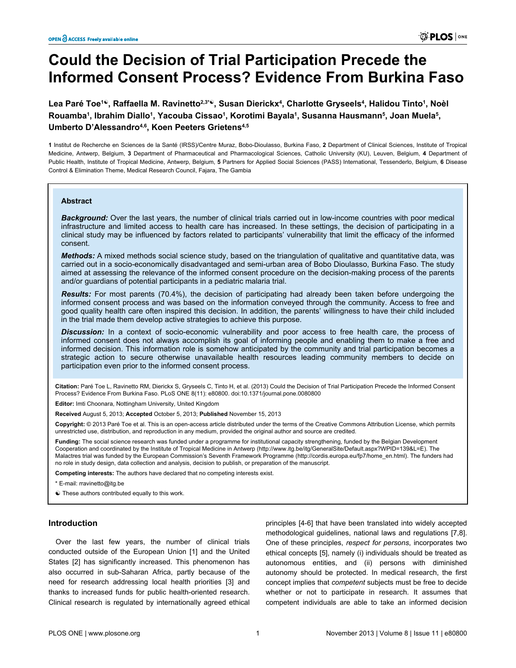# **Could the Decision of Trial Participation Precede the Informed Consent Process? Evidence From Burkina Faso**

**Lea Paré Toe<sup>1</sup>☯, Raffaella M. Ravinetto2,3\*☯, Susan Dierickx<sup>4</sup> , Charlotte Gryseels<sup>4</sup> , Halidou Tinto<sup>1</sup> , Noèl**  $R$ ouamba<sup>1</sup>, Ibrahim Diallo<sup>1</sup>, Yacouba Cissao<sup>1</sup>, Korotimi Bayala<sup>1</sup>, Susanna Hausmann<sup>s</sup>, Joan Muela<sup>s</sup>, **Umberto D'Alessandro4,6, Koen Peeters Grietens4,5**

**1** Institut de Recherche en Sciences de la Santé (IRSS)/Centre Muraz, Bobo-Dioulasso, Burkina Faso, **2** Department of Clinical Sciences, Institute of Tropical Medicine, Antwerp, Belgium, **3** Department of Pharmaceutical and Pharmacological Sciences, Catholic University (KU), Leuven, Belgium, **4** Department of Public Health, Institute of Tropical Medicine, Antwerp, Belgium, **5** Partners for Applied Social Sciences (PASS) International, Tessenderlo, Belgium, **6** Disease Control & Elimination Theme, Medical Research Council, Fajara, The Gambia

#### **Abstract**

*Background:* Over the last years, the number of clinical trials carried out in low-income countries with poor medical infrastructure and limited access to health care has increased. In these settings, the decision of participating in a clinical study may be influenced by factors related to participants' vulnerability that limit the efficacy of the informed consent.

*Methods:* A mixed methods social science study, based on the triangulation of qualitative and quantitative data, was carried out in a socio-economically disadvantaged and semi-urban area of Bobo Dioulasso, Burkina Faso. The study aimed at assessing the relevance of the informed consent procedure on the decision-making process of the parents and/or guardians of potential participants in a pediatric malaria trial.

*Results:* For most parents (70.4%), the decision of participating had already been taken before undergoing the informed consent process and was based on the information conveyed through the community. Access to free and good quality health care often inspired this decision. In addition, the parents' willingness to have their child included in the trial made them develop active strategies to achieve this purpose.

*Discussion:* In a context of socio-economic vulnerability and poor access to free health care, the process of informed consent does not always accomplish its goal of informing people and enabling them to make a free and informed decision. This information role is somehow anticipated by the community and trial participation becomes a strategic action to secure otherwise unavailable health resources leading community members to decide on participation even prior to the informed consent process.

**Citation:** Paré Toe L, Ravinetto RM, Dierickx S, Gryseels C, Tinto H, et al. (2013) Could the Decision of Trial Participation Precede the Informed Consent Process? Evidence From Burkina Faso. PLoS ONE 8(11): e80800. doi:10.1371/journal.pone.0080800

**Editor:** Imti Choonara, Nottingham University, United Kingdom

**Received** August 5, 2013; **Accepted** October 5, 2013; **Published** November 15, 2013

**Copyright:** © 2013 Paré Toe et al. This is an open-access article distributed under the terms of the [Creative Commons Attribution License,](http://creativecommons.org/licenses/by/3.0/) which permits unrestricted use, distribution, and reproduction in any medium, provided the original author and source are credited.

**Funding:** The social science research was funded under a programme for institutional capacity strengthening, funded by the Belgian Development Cooperation and coordinated by the Institute of Tropical Medicine in Antwerp [\(http://www.itg.be/itg/GeneralSite/Default.aspx?WPID=139&L=E](http://www.itg.be/itg/GeneralSite/Default.aspx?WPID=139&L=E)). The Malactres trial was funded by the European Commission's Seventh Framework Programme [\(http://cordis.europa.eu/fp7/home\\_en.html\)](http://cordis.europa.eu/fp7/home_en.html). The funders had no role in study design, data collection and analysis, decision to publish, or preparation of the manuscript.

**Competing interests:** The authors have declared that no competing interests exist.

\* E-mail: rravinetto@itg.be

☯ These authors contributed equally to this work.

## **Introduction**

Over the last few years, the number of clinical trials conducted outside of the European Union [\[1](#page-8-0)] and the United States [\[2\]](#page-8-0) has significantly increased. This phenomenon has also occurred in sub-Saharan Africa, partly because of the need for research addressing local health priorities [\[3](#page-8-0)] and thanks to increased funds for public health-oriented research. Clinical research is regulated by internationally agreed ethical

principles [[4-6](#page-8-0)] that have been translated into widely accepted methodological guidelines, national laws and regulations [[7,8\]](#page-8-0). One of these principles, *respect for persons*, incorporates two ethical concepts [[5](#page-8-0)], namely (i) individuals should be treated as autonomous entities, and (ii) persons with diminished autonomy should be protected. In medical research, the first concept implies that *competent* subjects must be free to decide whether or not to participate in research. It assumes that competent individuals are able to take an informed decision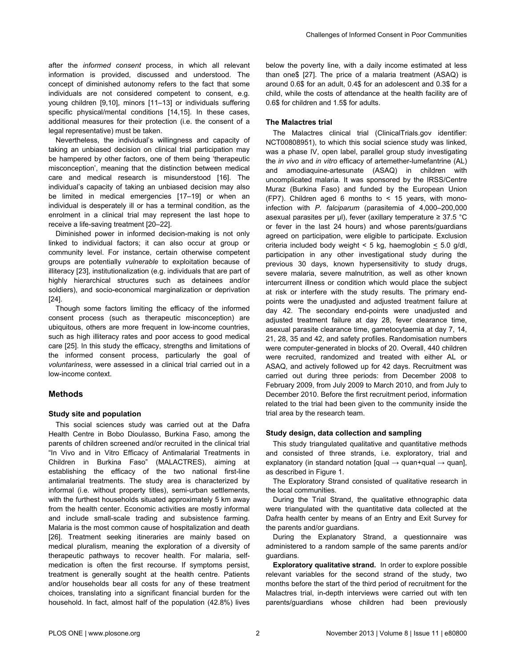after the *informed consent* process, in which all relevant information is provided, discussed and understood. The concept of diminished autonomy refers to the fact that some individuals are not considered competent to consent, e.g. young children [\[9,10\]](#page-8-0), minors [\[11–13](#page-8-0)] or individuals suffering specific physical/mental conditions [[14,15\]](#page-8-0). In these cases, additional measures for their protection (i.e. the consent of a legal representative) must be taken.

Nevertheless, the individual's willingness and capacity of taking an unbiased decision on clinical trial participation may be hampered by other factors, one of them being 'therapeutic misconception', meaning that the distinction between medical care and medical research is misunderstood [\[16\]](#page-8-0). The individual's capacity of taking an unbiased decision may also be limited in medical emergencies [[17](#page-8-0)–[19](#page-8-0)] or when an individual is desperately ill or has a terminal condition, as the enrolment in a clinical trial may represent the last hope to receive a life-saving treatment [[20](#page-8-0)–[22](#page-8-0)].

Diminished power in informed decision-making is not only linked to individual factors; it can also occur at group or community level. For instance, certain otherwise competent groups are potentially *vulnerable* to exploitation because of illiteracy [\[23\]](#page-8-0), institutionalization (e.g. individuals that are part of highly hierarchical structures such as detainees and/or soldiers), and socio-economical marginalization or deprivation [[24](#page-8-0)].

Though some factors limiting the efficacy of the informed consent process (such as therapeutic misconception) are ubiquitous, others are more frequent in low-income countries, such as high illiteracy rates and poor access to good medical care [\[25\]](#page-8-0). In this study the efficacy, strengths and limitations of the informed consent process, particularly the goal of *voluntariness*, were assessed in a clinical trial carried out in a low-income context.

## **Methods**

#### **Study site and population**

This social sciences study was carried out at the Dafra Health Centre in Bobo Dioulasso, Burkina Faso, among the parents of children screened and/or recruited in the clinical trial "In Vivo and in Vitro Efficacy of Antimalarial Treatments in Children in Burkina Faso" (MALACTRES), aiming at establishing the efficacy of the two national first-line antimalarial treatments. The study area is characterized by informal (i.e. without property titles), semi-urban settlements, with the furthest households situated approximately 5 km away from the health center. Economic activities are mostly informal and include small-scale trading and subsistence farming. Malaria is the most common cause of hospitalization and death [[26](#page-9-0)]. Treatment seeking itineraries are mainly based on medical pluralism, meaning the exploration of a diversity of therapeutic pathways to recover health. For malaria, selfmedication is often the first recourse. If symptoms persist, treatment is generally sought at the health centre. Patients and/or households bear all costs for any of these treatment choices, translating into a significant financial burden for the household. In fact, almost half of the population (42.8%) lives

below the poverty line, with a daily income estimated at less than one\$ [[27](#page-9-0)]. The price of a malaria treatment (ASAQ) is around 0.6\$ for an adult, 0.4\$ for an adolescent and 0.3\$ for a child, while the costs of attendance at the health facility are of 0.6\$ for children and 1.5\$ for adults.

## **The Malactres trial**

The Malactres clinical trial (ClinicalTrials.gov identifier: NCT00808951), to which this social science study was linked, was a phase IV, open label, parallel group study investigating the *in vivo* and *in vitro* efficacy of artemether-lumefantrine (AL) and amodiaquine-artesunate (ASAQ) in children with uncomplicated malaria. It was sponsored by the IRSS/Centre Muraz (Burkina Faso) and funded by the European Union (FP7). Children aged 6 months to  $\leq$  15 years, with monoinfection with *P. falciparum* (parasitemia of 4,000–200,000 asexual parasites per  $\mu$ l), fever (axillary temperature ≥ 37.5 °C or fever in the last 24 hours) and whose parents/guardians agreed on participation, were eligible to participate. Exclusion criteria included body weight < 5 kg, haemoglobin  $\leq$  5.0 g/dl, participation in any other investigational study during the previous 30 days, known hypersensitivity to study drugs, severe malaria, severe malnutrition, as well as other known intercurrent illness or condition which would place the subject at risk or interfere with the study results. The primary endpoints were the unadjusted and adjusted treatment failure at day 42. The secondary end-points were unadjusted and adjusted treatment failure at day 28, fever clearance time, asexual parasite clearance time, gametocytaemia at day 7, 14, 21, 28, 35 and 42, and safety profiles. Randomisation numbers were computer-generated in blocks of 20. Overall, 440 children were recruited, randomized and treated with either AL or ASAQ, and actively followed up for 42 days. Recruitment was carried out during three periods: from December 2008 to February 2009, from July 2009 to March 2010, and from July to December 2010. Before the first recruitment period, information related to the trial had been given to the community inside the trial area by the research team.

#### **Study design, data collection and sampling**

This study triangulated qualitative and quantitative methods and consisted of three strands, i.e. exploratory, trial and explanatory (in standard notation [qual  $\rightarrow$  quan+qual  $\rightarrow$  quan], as described in [Figure 1](#page-2-0).

The Exploratory Strand consisted of qualitative research in the local communities.

During the Trial Strand, the qualitative ethnographic data were triangulated with the quantitative data collected at the Dafra health center by means of an Entry and Exit Survey for the parents and/or guardians.

During the Explanatory Strand, a questionnaire was administered to a random sample of the same parents and/or guardians.

**Exploratory qualitative strand.** In order to explore possible relevant variables for the second strand of the study, two months before the start of the third period of recruitment for the Malactres trial, in-depth interviews were carried out with ten parents/guardians whose children had been previously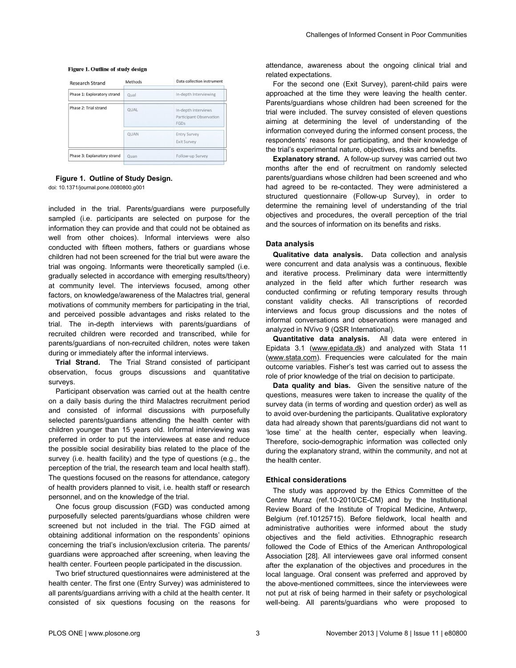#### <span id="page-2-0"></span>Figure 1. Outline of study design

| <b>Research Strand</b>      | <b>Methods</b> | Data collection instrument                             |
|-----------------------------|----------------|--------------------------------------------------------|
| Phase 1: Exploratory strand | Qual           | In-depth Interviewing                                  |
| Phase 2: Trial strand       | <b>OUAL</b>    | In-depth interviews<br>Participant Observation<br>FGDs |
|                             | <b>QUAN</b>    | <b>Entry Survey</b><br><b>Exit Survey</b>              |
| Phase 3: Explanatory strand | Quan           | Follow-up Survey                                       |
|                             |                |                                                        |

## **Figure 1. Outline of Study Design.**

doi: 10.1371/journal.pone.0080800.g001

included in the trial. Parents/guardians were purposefully sampled (i.e. participants are selected on purpose for the information they can provide and that could not be obtained as well from other choices). Informal interviews were also conducted with fifteen mothers, fathers or guardians whose children had not been screened for the trial but were aware the trial was ongoing. Informants were theoretically sampled (i.e. gradually selected in accordance with emerging results/theory) at community level. The interviews focused, among other factors, on knowledge/awareness of the Malactres trial, general motivations of community members for participating in the trial, and perceived possible advantages and risks related to the trial. The in-depth interviews with parents/guardians of recruited children were recorded and transcribed, while for parents/guardians of non-recruited children, notes were taken during or immediately after the informal interviews.

**Trial Strand.** The Trial Strand consisted of participant observation, focus groups discussions and quantitative surveys.

Participant observation was carried out at the health centre on a daily basis during the third Malactres recruitment period and consisted of informal discussions with purposefully selected parents/guardians attending the health center with children younger than 15 years old. Informal interviewing was preferred in order to put the interviewees at ease and reduce the possible social desirability bias related to the place of the survey (i.e. health facility) and the type of questions (e.g., the perception of the trial, the research team and local health staff). The questions focused on the reasons for attendance, category of health providers planned to visit, i.e. health staff or research personnel, and on the knowledge of the trial.

One focus group discussion (FGD) was conducted among purposefully selected parents/guardians whose children were screened but not included in the trial. The FGD aimed at obtaining additional information on the respondents' opinions concerning the trial's inclusion/exclusion criteria. The parents/ guardians were approached after screening, when leaving the health center. Fourteen people participated in the discussion.

Two brief structured questionnaires were administered at the health center. The first one (Entry Survey) was administered to all parents/guardians arriving with a child at the health center. It consisted of six questions focusing on the reasons for

attendance, awareness about the ongoing clinical trial and related expectations.

For the second one (Exit Survey), parent-child pairs were approached at the time they were leaving the health center. Parents/guardians whose children had been screened for the trial were included. The survey consisted of eleven questions aiming at determining the level of understanding of the information conveyed during the informed consent process, the respondents' reasons for participating, and their knowledge of the trial's experimental nature, objectives, risks and benefits.

**Explanatory strand.** A follow-up survey was carried out two months after the end of recruitment on randomly selected parents/guardians whose children had been screened and who had agreed to be re-contacted. They were administered a structured questionnaire (Follow-up Survey), in order to determine the remaining level of understanding of the trial objectives and procedures, the overall perception of the trial and the sources of information on its benefits and risks.

## **Data analysis**

**Qualitative data analysis.** Data collection and analysis were concurrent and data analysis was a continuous, flexible and iterative process. Preliminary data were intermittently analyzed in the field after which further research was conducted confirming or refuting temporary results through constant validity checks. All transcriptions of recorded interviews and focus group discussions and the notes of informal conversations and observations were managed and analyzed in NVivo 9 (QSR International).

**Quantitative data analysis.** All data were entered in Epidata 3.1 [\(www.epidata.dk](http://www.epidata.dk)) and analyzed with Stata 11 [\(www.stata.com\)](http://www.stata.com). Frequencies were calculated for the main outcome variables. Fisher's test was carried out to assess the role of prior knowledge of the trial on decision to participate.

**Data quality and bias.** Given the sensitive nature of the questions, measures were taken to increase the quality of the survey data (in terms of wording and question order) as well as to avoid over-burdening the participants. Qualitative exploratory data had already shown that parents/guardians did not want to 'lose time' at the health center, especially when leaving. Therefore, socio-demographic information was collected only during the explanatory strand, within the community, and not at the health center.

#### **Ethical considerations**

The study was approved by the Ethics Committee of the Centre Muraz (ref.10-2010/CE-CM) and by the Institutional Review Board of the Institute of Tropical Medicine, Antwerp, Belgium (ref.10125715). Before fieldwork, local health and administrative authorities were informed about the study objectives and the field activities. Ethnographic research followed the Code of Ethics of the American Anthropological Association [\[28\]](#page-9-0). All interviewees gave oral informed consent after the explanation of the objectives and procedures in the local language. Oral consent was preferred and approved by the above-mentioned committees, since the interviewees were not put at risk of being harmed in their safety or psychological well-being. All parents/guardians who were proposed to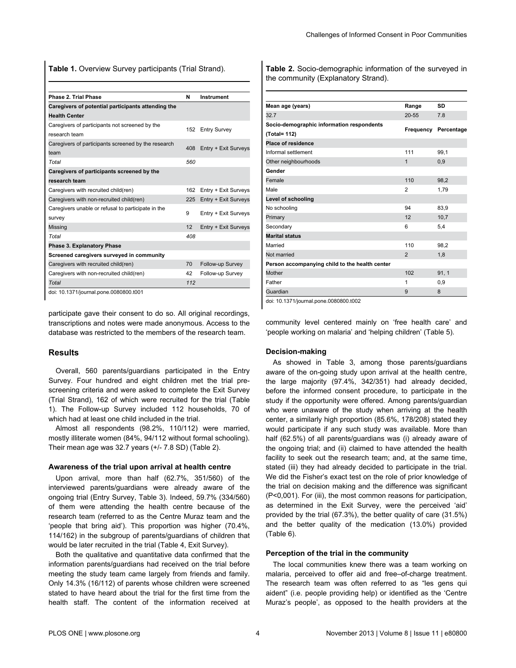**Table 1.** Overview Survey participants (Trial Strand).

| Phase 2. Trial Phase                                | N   | Instrument           |
|-----------------------------------------------------|-----|----------------------|
| Caregivers of potential participants attending the  |     |                      |
| <b>Health Center</b>                                |     |                      |
| Caregivers of participants not screened by the      |     |                      |
| research team                                       | 152 | <b>Entry Survey</b>  |
| Caregivers of participants screened by the research | 408 |                      |
| team                                                |     | Entry + Exit Surveys |
| Total                                               | 560 |                      |
| Caregivers of participants screened by the          |     |                      |
| research team                                       |     |                      |
| Caregivers with recruited child(ren)                | 162 | Entry + Exit Surveys |
| Caregivers with non-recruited child(ren)            | 225 | Entry + Exit Surveys |
| Caregivers unable or refusal to participate in the  | 9   | Entry + Exit Surveys |
| survey                                              |     |                      |
| Missing                                             | 12  | Entry + Exit Surveys |
| Total                                               | 408 |                      |
| <b>Phase 3. Explanatory Phase</b>                   |     |                      |
| Screened caregivers surveyed in community           |     |                      |
| Caregivers with recruited child(ren)                | 70  | Follow-up Survey     |
| Caregivers with non-recruited child(ren)            | 42  | Follow-up Survey     |
| Total                                               | 112 |                      |

doi: 10.1371/journal.pone.0080800.t001

participate gave their consent to do so. All original recordings, transcriptions and notes were made anonymous. Access to the database was restricted to the members of the research team.

## **Results**

Overall, 560 parents/guardians participated in the Entry Survey. Four hundred and eight children met the trial prescreening criteria and were asked to complete the Exit Survey (Trial Strand), 162 of which were recruited for the trial (Table 1). The Follow-up Survey included 112 households, 70 of which had at least one child included in the trial.

Almost all respondents (98.2%, 110/112) were married, mostly illiterate women (84%, 94/112 without formal schooling). Their mean age was 32.7 years (+/- 7.8 SD) (Table 2).

#### **Awareness of the trial upon arrival at health centre**

Upon arrival, more than half (62.7%, 351/560) of the interviewed parents/guardians were already aware of the ongoing trial (Entry Survey, [Table 3\)](#page-4-0). Indeed, 59.7% (334/560) of them were attending the health centre because of the research team (referred to as the Centre Muraz team and the 'people that bring aid'). This proportion was higher (70.4%, 114/162) in the subgroup of parents/guardians of children that would be later recruited in the trial [\(Table 4,](#page-4-0) Exit Survey).

Both the qualitative and quantitative data confirmed that the information parents/guardians had received on the trial before meeting the study team came largely from friends and family. Only 14.3% (16/112) of parents whose children were screened stated to have heard about the trial for the first time from the health staff. The content of the information received at

**Table 2.** Socio-demographic information of the surveyed in the community (Explanatory Strand).

| Mean age (years)                               | Range          | SD         |
|------------------------------------------------|----------------|------------|
| 32.7                                           | $20 - 55$      | 7.8        |
| Socio-demographic information respondents      | Frequency      | Percentage |
| (Total= 112)                                   |                |            |
| <b>Place of residence</b>                      |                |            |
| Informal settlement                            | 111            | 99,1       |
| Other neighbourhoods                           | $\mathbf{1}$   | 0.9        |
| Gender                                         |                |            |
| Female                                         | 110            | 98,2       |
| Male                                           | $\mathfrak{p}$ | 1.79       |
| Level of schooling                             |                |            |
| No schooling                                   | 94             | 83.9       |
| Primary                                        | 12             | 10,7       |
| Secondary                                      | 6              | 5,4        |
| <b>Marital status</b>                          |                |            |
| Married                                        | 110            | 98.2       |
| Not married                                    | 2              | 1.8        |
| Person accompanying child to the health center |                |            |
| Mother                                         | 102            | 91, 1      |
| Father                                         | 1              | 0,9        |
| Guardian                                       | 9              | 8          |

doi: 10.1371/journal.pone.0080800.t002

community level centered mainly on 'free health care' and 'people working on malaria' and 'helping children' ([Table 5](#page-5-0)).

## **Decision-making**

As showed in [Table 3](#page-4-0), among those parents/guardians aware of the on-going study upon arrival at the health centre, the large majority (97.4%, 342/351) had already decided, before the informed consent procedure, to participate in the study if the opportunity were offered. Among parents/guardian who were unaware of the study when arriving at the health center, a similarly high proportion (85.6%, 178/208) stated they would participate if any such study was available. More than half (62.5%) of all parents/guardians was (i) already aware of the ongoing trial; and (ii) claimed to have attended the health facility to seek out the research team; and, at the same time, stated (iii) they had already decided to participate in the trial. We did the Fisher's exact test on the role of prior knowledge of the trial on decision making and the difference was significant (P<0,001). For (iii), the most common reasons for participation, as determined in the Exit Survey, were the perceived 'aid' provided by the trial (67.3%), the better quality of care (31.5%) and the better quality of the medication (13.0%) provided [\(Table 6\)](#page-5-0).

#### **Perception of the trial in the community**

The local communities knew there was a team working on malaria, perceived to offer aid and free–of-charge treatment. The research team was often referred to as "les gens qui aident" (i.e. people providing help) or identified as the 'Centre Muraz's people', as opposed to the health providers at the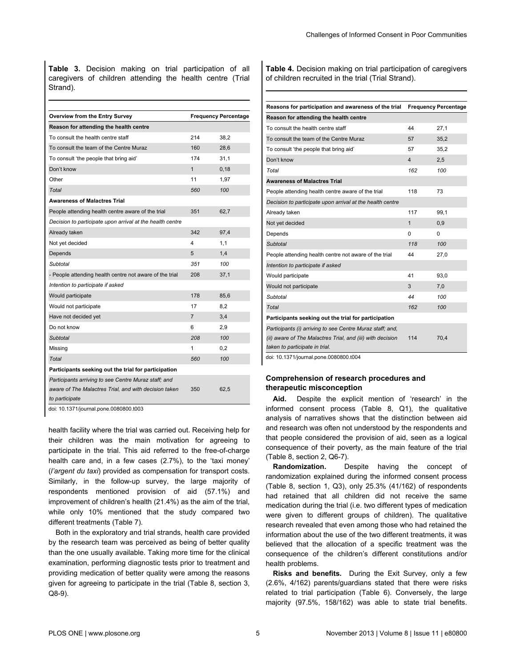<span id="page-4-0"></span>**Table 3.** Decision making on trial participation of all caregivers of children attending the health centre (Trial Strand).

| <b>Overview from the Entry Survey</b>                     |                | <b>Frequency Percentage</b> |
|-----------------------------------------------------------|----------------|-----------------------------|
| Reason for attending the health centre                    |                |                             |
| To consult the health centre staff                        | 214            | 38.2                        |
| To consult the team of the Centre Muraz                   | 160            | 28,6                        |
| To consult 'the people that bring aid'                    | 174            | 31,1                        |
| Don't know                                                | $\mathbf{1}$   | 0,18                        |
| Other                                                     | 11             | 1,97                        |
| Total                                                     | 560            | 100                         |
| <b>Awareness of Malactres Trial</b>                       |                |                             |
| People attending health centre aware of the trial         | 351            | 62,7                        |
| Decision to participate upon arrival at the health centre |                |                             |
| Already taken                                             | 342            | 97,4                        |
| Not yet decided                                           | 4              | 1,1                         |
| Depends                                                   | 5              | 1,4                         |
| Subtotal                                                  | 351            | 100                         |
| - People attending health centre not aware of the trial   | 208            | 37,1                        |
| Intention to participate if asked                         |                |                             |
| Would participate                                         | 178            | 85,6                        |
| Would not participate                                     | 17             | 8.2                         |
| Have not decided yet                                      | $\overline{7}$ | 3,4                         |
| Do not know                                               | 6              | 2,9                         |
| Subtotal                                                  | 208            | 100                         |
| Missing                                                   | 1              | 0.2                         |
| Total                                                     | 560            | 100                         |
| Participants seeking out the trial for participation      |                |                             |
| Participants arriving to see Centre Muraz staff; and      |                |                             |
| aware of The Malactres Trial, and with decision taken     | 350            | 62,5                        |
| to participate                                            |                |                             |

doi: 10.1371/journal.pone.0080800.t003

health facility where the trial was carried out. Receiving help for their children was the main motivation for agreeing to participate in the trial. This aid referred to the free-of-charge health care and, in a few cases (2.7%), to the 'taxi money' (*l'argent du taxi*) provided as compensation for transport costs. Similarly, in the follow-up survey, the large majority of respondents mentioned provision of aid (57.1%) and improvement of children's health (21.4%) as the aim of the trial, while only 10% mentioned that the study compared two different treatments [\(Table 7](#page-6-0)).

Both in the exploratory and trial strands, health care provided by the research team was perceived as being of better quality than the one usually available. Taking more time for the clinical examination, performing diagnostic tests prior to treatment and providing medication of better quality were among the reasons given for agreeing to participate in the trial [\(Table 8](#page-7-0), section 3, Q8-9).

**Table 4.** Decision making on trial participation of caregivers of children recruited in the trial (Trial Strand).

| Reasons for participation and awareness of the trial       |                | <b>Frequency Percentage</b> |
|------------------------------------------------------------|----------------|-----------------------------|
| Reason for attending the health centre                     |                |                             |
| To consult the health centre staff                         | 44             | 27,1                        |
| To consult the team of the Centre Muraz                    | 57             | 35,2                        |
| To consult 'the people that bring aid'                     | 57             | 35,2                        |
| Don't know                                                 | $\overline{4}$ | 2,5                         |
| Total                                                      | 162            | 100                         |
| <b>Awareness of Malactres Trial</b>                        |                |                             |
| People attending health centre aware of the trial          | 118            | 73                          |
| Decision to participate upon arrival at the health centre  |                |                             |
| Already taken                                              | 117            | 99,1                        |
| Not yet decided                                            | $\mathbf{1}$   | 0,9                         |
| Depends                                                    | 0              | 0                           |
| <b>Subtotal</b>                                            | 118            | 100                         |
| People attending health centre not aware of the trial      | 44             | 27,0                        |
| Intention to participate if asked                          |                |                             |
| Would participate                                          | 41             | 93.0                        |
| Would not participate                                      | 3              | 7,0                         |
| <b>Subtotal</b>                                            | 44             | 100                         |
| <b>Total</b>                                               | 162            | 100                         |
| Participants seeking out the trial for participation       |                |                             |
| Participants (i) arriving to see Centre Muraz staff; and,  |                |                             |
| (ii) aware of The Malactres Trial, and (iii) with decision | 114            | 70,4                        |
| taken to participate in trial.                             |                |                             |

doi: 10.1371/journal.pone.0080800.t004

## **Comprehension of research procedures and therapeutic misconception**

**Aid.** Despite the explicit mention of 'research' in the informed consent process ([Table 8, Q1](#page-7-0)), the qualitative analysis of narratives shows that the distinction between aid and research was often not understood by the respondents and that people considered the provision of aid, seen as a logical consequence of their poverty, as the main feature of the trial [\(Table 8,](#page-7-0) section 2, Q6-7).

**Randomization.** Despite having the concept of randomization explained during the informed consent process [\(Table 8,](#page-7-0) section 1, Q3), only 25.3% (41/162) of respondents had retained that all children did not receive the same medication during the trial (i.e. two different types of medication were given to different groups of children). The qualitative research revealed that even among those who had retained the information about the use of the two different treatments, it was believed that the allocation of a specific treatment was the consequence of the children's different constitutions and/or health problems.

**Risks and benefits.** During the Exit Survey, only a few (2.6%, 4/162) parents/guardians stated that there were risks related to trial participation [\(Table 6\)](#page-5-0). Conversely, the large majority (97.5%, 158/162) was able to state trial benefits.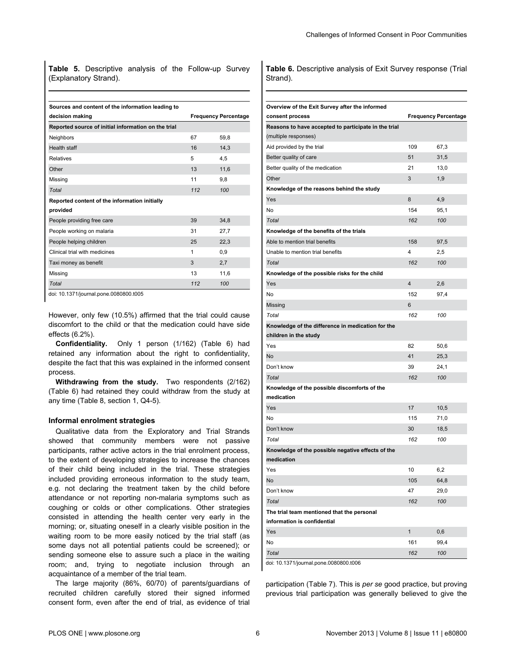<span id="page-5-0"></span>**Table 5.** Descriptive analysis of the Follow-up Survey (Explanatory Strand).

| Sources and content of the information leading to   |     |                             |  |
|-----------------------------------------------------|-----|-----------------------------|--|
| decision making                                     |     | <b>Frequency Percentage</b> |  |
| Reported source of initial information on the trial |     |                             |  |
| Neighbors                                           | 67  | 59.8                        |  |
| <b>Health staff</b>                                 | 16  | 14,3                        |  |
| <b>Relatives</b>                                    | 5   | 4,5                         |  |
| Other                                               | 13  | 11,6                        |  |
| Missing                                             | 11  | 9.8                         |  |
| Total                                               | 112 | 100                         |  |
| Reported content of the information initially       |     |                             |  |
| provided                                            |     |                             |  |
| People providing free care                          | 39  | 34,8                        |  |
| People working on malaria                           | 31  | 27,7                        |  |
| People helping children                             | 25  | 22,3                        |  |
| Clinical trial with medicines                       | 1   | 0,9                         |  |
| Taxi money as benefit                               | 3   | 2,7                         |  |
| Missing                                             | 13  | 11,6                        |  |
| Total                                               | 112 | 100                         |  |

doi: 10.1371/journal.pone.0080800.t005

However, only few (10.5%) affirmed that the trial could cause discomfort to the child or that the medication could have side effects (6.2%).

**Confidentiality.** Only 1 person (1/162) (Table 6) had retained any information about the right to confidentiality, despite the fact that this was explained in the informed consent process.

**Withdrawing from the study.** Two respondents (2/162) (Table 6) had retained they could withdraw from the study at any time ([Table 8](#page-7-0), section 1, Q4-5).

#### **Informal enrolment strategies**

Qualitative data from the Exploratory and Trial Strands showed that community members were not passive participants, rather active actors in the trial enrolment process, to the extent of developing strategies to increase the chances of their child being included in the trial. These strategies included providing erroneous information to the study team, e.g. not declaring the treatment taken by the child before attendance or not reporting non-malaria symptoms such as coughing or colds or other complications. Other strategies consisted in attending the health center very early in the morning; or, situating oneself in a clearly visible position in the waiting room to be more easily noticed by the trial staff (as some days not all potential patients could be screened); or sending someone else to assure such a place in the waiting room; and, trying to negotiate inclusion through an acquaintance of a member of the trial team.

The large majority (86%, 60/70) of parents/guardians of recruited children carefully stored their signed informed consent form, even after the end of trial, as evidence of trial

**Table 6.** Descriptive analysis of Exit Survey response (Trial Strand).

| Overview of the Exit Survey after the informed                               |              |                             |
|------------------------------------------------------------------------------|--------------|-----------------------------|
| consent process                                                              |              | <b>Frequency Percentage</b> |
| Reasons to have accepted to participate in the trial<br>(multiple responses) |              |                             |
| Aid provided by the trial                                                    | 109          | 67,3                        |
| Better quality of care                                                       | 51           | 31,5                        |
| Better quality of the medication                                             | 21           | 13,0                        |
| Other                                                                        | 3            | 1,9                         |
| Knowledge of the reasons behind the study                                    |              |                             |
| Yes                                                                          | 8            | 4,9                         |
| No                                                                           | 154          | 95,1                        |
| Total                                                                        | 162          | 100                         |
| Knowledge of the benefits of the trials                                      |              |                             |
| Able to mention trial benefits                                               | 158          | 97,5                        |
| Unable to mention trial benefits                                             | 4            | 2,5                         |
| Total                                                                        | 162          | 100                         |
| Knowledge of the possible risks for the child                                |              |                             |
| Yes                                                                          | 4            | 2,6                         |
| No                                                                           | 152          | 97,4                        |
| Missing                                                                      | 6            |                             |
| Total                                                                        | 162          | 100                         |
| Knowledge of the difference in medication for the                            |              |                             |
| children in the study                                                        |              |                             |
| Yes                                                                          | 82           | 50,6                        |
| <b>No</b>                                                                    | 41           | 25,3                        |
| Don't know                                                                   | 39           | 24,1                        |
| Total                                                                        | 162          | 100                         |
| Knowledge of the possible discomforts of the<br>medication                   |              |                             |
| Yes                                                                          | 17           | 10,5                        |
| No                                                                           | 115          | 71,0                        |
| Don't know                                                                   | 30           | 18,5                        |
| Total                                                                        | 162          | 100                         |
| Knowledge of the possible negative effects of the                            |              |                             |
| medication                                                                   |              |                             |
| Yes                                                                          | 10           | 6,2                         |
| No                                                                           | 105          | 64,8                        |
| Don't know                                                                   | 47           | 29,0                        |
| Total                                                                        | 162          | 100                         |
| The trial team mentioned that the personal                                   |              |                             |
| information is confidential                                                  |              |                             |
| Yes                                                                          | $\mathbf{1}$ | 0,6                         |
| No                                                                           | 161          | 99,4                        |
| <b>Total</b>                                                                 | 162          | 100                         |

doi: 10.1371/journal.pone.0080800.t006

participation ([Table 7](#page-6-0)). This is *per se* good practice, but proving previous trial participation was generally believed to give the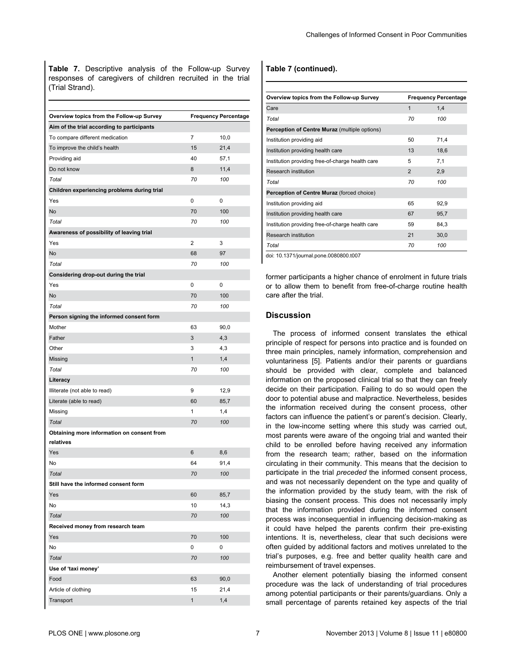<span id="page-6-0"></span>**Table 7.** Descriptive analysis of the Follow-up Survey responses of caregivers of children recruited in the trial (Trial Strand).

| Overview topics from the Follow-up Survey   |              | <b>Frequency Percentage</b> |
|---------------------------------------------|--------------|-----------------------------|
| Aim of the trial according to participants  |              |                             |
| To compare different medication             | 7            | 10,0                        |
| To improve the child's health               | 15           | 21,4                        |
| Providing aid                               | 40           | 57,1                        |
| Do not know                                 | 8            | 11,4                        |
| Total                                       | 70           | 100                         |
| Children experiencing problems during trial |              |                             |
| Yes                                         | 0            | 0                           |
| No                                          | 70           | 100                         |
| Total                                       | 70           | 100                         |
| Awareness of possibility of leaving trial   |              |                             |
| Yes                                         | 2            | 3                           |
| No                                          | 68           | 97                          |
| Total                                       | 70           | 100                         |
| Considering drop-out during the trial       |              |                             |
| Yes                                         | 0            | 0                           |
| No                                          | 70           | 100                         |
| Total                                       | 70           | 100                         |
| Person signing the informed consent form    |              |                             |
| Mother                                      | 63           | 90,0                        |
| Father                                      | 3            | 4,3                         |
| Other                                       | 3            | 4,3                         |
| Missing                                     | $\mathbf{1}$ | 1,4                         |
| Total                                       | 70           | 100                         |
| Literacy                                    |              |                             |
| Illiterate (not able to read)               | 9            | 12,9                        |
| Literate (able to read)                     | 60           | 85,7                        |
| Missing                                     | 1            | 1,4                         |
| Total                                       | 70           | 100                         |
| Obtaining more information on consent from  |              |                             |
| relatives                                   |              |                             |
| Yes                                         | 6            | 8,6                         |
| No                                          | 64           | 91,4                        |
| Total                                       | 70           | 100                         |
| Still have the informed consent form        |              |                             |
| Yes                                         | 60           | 85,7                        |
| No                                          | 10           | 14,3                        |
| Total                                       | 70           | 100                         |
| Received money from research team           |              |                             |
| Yes                                         | 70           | 100                         |
| No                                          | 0            | 0                           |
| Total                                       | 70           | 100                         |
| Use of 'taxi money'                         |              |                             |
| Food                                        | 63           | 90,0                        |
| Article of clothing                         | 15           | 21,4                        |
| Transport                                   | $\mathbf{1}$ | 1,4                         |

## **Table 7 (continued).**

| Overview topics from the Follow-up Survey        |    | <b>Frequency Percentage</b> |
|--------------------------------------------------|----|-----------------------------|
| Care                                             | 1  | 1,4                         |
| Total                                            | 70 | 100                         |
| Perception of Centre Muraz (multiple options)    |    |                             |
| Institution providing aid                        | 50 | 71.4                        |
| Institution providing health care                | 13 | 18,6                        |
| Institution providing free-of-charge health care | 5  | 7,1                         |
| Research institution                             | 2  | 2,9                         |
| Total                                            | 70 | 100                         |
| Perception of Centre Muraz (forced choice)       |    |                             |
| Institution providing aid                        | 65 | 92,9                        |
| Institution providing health care                | 67 | 95,7                        |
| Institution providing free-of-charge health care | 59 | 84,3                        |
| Research institution                             | 21 | 30,0                        |
| Total                                            | 70 | 100                         |

doi: 10.1371/journal.pone.0080800.t007

former participants a higher chance of enrolment in future trials or to allow them to benefit from free-of-charge routine health care after the trial.

# **Discussion**

The process of informed consent translates the ethical principle of respect for persons into practice and is founded on three main principles, namely information, comprehension and voluntariness [[5](#page-8-0)]. Patients and/or their parents or guardians should be provided with clear, complete and balanced information on the proposed clinical trial so that they can freely decide on their participation. Failing to do so would open the door to potential abuse and malpractice. Nevertheless, besides the information received during the consent process, other factors can influence the patient's or parent's decision. Clearly, in the low-income setting where this study was carried out, most parents were aware of the ongoing trial and wanted their child to be enrolled before having received any information from the research team; rather, based on the information circulating in their community. This means that the decision to participate in the trial *preceded* the informed consent process, and was not necessarily dependent on the type and quality of the information provided by the study team, with the risk of biasing the consent process. This does not necessarily imply that the information provided during the informed consent process was inconsequential in influencing decision-making as it could have helped the parents confirm their pre-existing intentions. It is, nevertheless, clear that such decisions were often guided by additional factors and motives unrelated to the trial's purposes, e.g. free and better quality health care and reimbursement of travel expenses.

Another element potentially biasing the informed consent procedure was the lack of understanding of trial procedures among potential participants or their parents/guardians. Only a small percentage of parents retained key aspects of the trial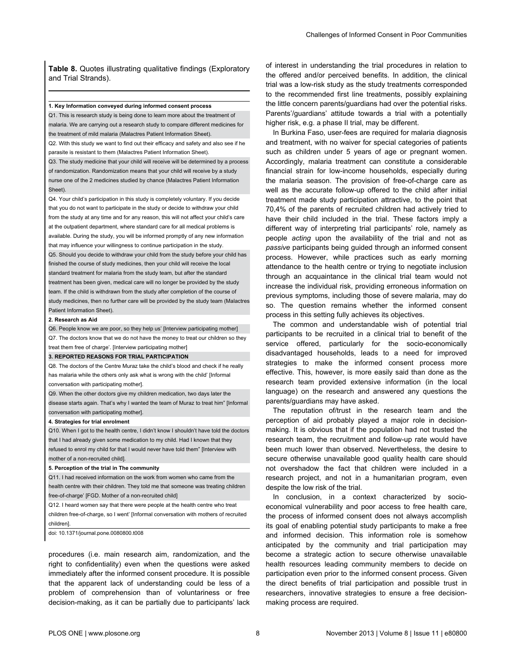<span id="page-7-0"></span>**Table 8.** Quotes illustrating qualitative findings (Exploratory and Trial Strands).

#### **1. Key Information conveyed during informed consent process**

Q1. This is research study is being done to learn more about the treatment of malaria. We are carrying out a research study to compare different medicines for the treatment of mild malaria (Malactres Patient Information Sheet). Q2. With this study we want to find out their efficacy and safety and also see if he

parasite is resistant to them (Malactres Patient Information Sheet).

Q3. The study medicine that your child will receive will be determined by a process of randomization. Randomization means that your child will receive by a study nurse one of the 2 medicines studied by chance (Malactres Patient Information Sheet).

Q4. Your child's participation in this study is completely voluntary. If you decide that you do not want to participate in the study or decide to withdraw your child from the study at any time and for any reason, this will not affect your child's care at the outpatient department, where standard care for all medical problems is available. During the study, you will be informed promptly of any new information that may influence your willingness to continue participation in the study. Q5. Should you decide to withdraw your child from the study before your child has finished the course of study medicines, then your child will receive the local standard treatment for malaria from the study team, but after the standard treatment has been given, medical care will no longer be provided by the study team. If the child is withdrawn from the study after completion of the course of study medicines, then no further care will be provided by the study team (Malactres Patient Information Sheet).

#### **2. Research as Aid**

Q6. People know we are poor, so they help us' [Interview participating mother] Q7. The doctors know that we do not have the money to treat our children so they treat them free of charge'. [Interview participating mother]

#### **3. REPORTED REASONS FOR TRIAL PARTICIPATION**

Q8. The doctors of the Centre Muraz take the child's blood and check if he really has malaria while the others only ask what is wrong with the child' [Informal conversation with participating mother].

Q9. When the other doctors give my children medication, two days later the disease starts again. That's why I wanted the team of Muraz to treat him" [Informal conversation with participating mother].

#### **4. Strategies for trial enrolment**

Q10. When I got to the health centre, I didn't know I shouldn't have told the doctors that I had already given some medication to my child. Had I known that they refused to enrol my child for that I would never have told them" [Interview with mother of a non-recruited child].

#### **5. Perception of the trial in The community**

Q11. I had received information on the work from women who came from the health centre with their children. They told me that someone was treating children free-of-charge' [FGD. Mother of a non-recruited child]

Q12. I heard women say that there were people at the health centre who treat children free-of-charge, so I went' [Informal conversation with mothers of recruited children].

doi: 10.1371/journal.pone.0080800.t008

procedures (i.e. main research aim, randomization, and the right to confidentiality) even when the questions were asked immediately after the informed consent procedure. It is possible that the apparent lack of understanding could be less of a problem of comprehension than of voluntariness or free decision-making, as it can be partially due to participants' lack

of interest in understanding the trial procedures in relation to the offered and/or perceived benefits. In addition, the clinical trial was a low-risk study as the study treatments corresponded to the recommended first line treatments, possibly explaining the little concern parents/guardians had over the potential risks. Parents'/guardians' attitude towards a trial with a potentially higher risk, e.g. a phase II trial, may be different.

In Burkina Faso, user-fees are required for malaria diagnosis and treatment, with no waiver for special categories of patients such as children under 5 years of age or pregnant women. Accordingly, malaria treatment can constitute a considerable financial strain for low-income households, especially during the malaria season. The provision of free-of-charge care as well as the accurate follow-up offered to the child after initial treatment made study participation attractive, to the point that 70,4% of the parents of recruited children had actively tried to have their child included in the trial. These factors imply a different way of interpreting trial participants' role, namely as people *acting* upon the availability of the trial and not as *passive* participants being guided through an informed consent process. However, while practices such as early morning attendance to the health centre or trying to negotiate inclusion through an acquaintance in the clinical trial team would not increase the individual risk, providing erroneous information on previous symptoms, including those of severe malaria, may do so. The question remains whether the informed consent process in this setting fully achieves its objectives.

The common and understandable wish of potential trial participants to be recruited in a clinical trial to benefit of the service offered, particularly for the socio-economically disadvantaged households, leads to a need for improved strategies to make the informed consent process more effective. This, however, is more easily said than done as the research team provided extensive information (in the local language) on the research and answered any questions the parents/guardians may have asked.

The reputation of/trust in the research team and the perception of aid probably played a major role in decisionmaking. It is obvious that if the population had not trusted the research team, the recruitment and follow-up rate would have been much lower than observed. Nevertheless, the desire to secure otherwise unavailable good quality health care should not overshadow the fact that children were included in a research project, and not in a humanitarian program, even despite the low risk of the trial.

In conclusion, in a context characterized by socioeconomical vulnerability and poor access to free health care, the process of informed consent does not always accomplish its goal of enabling potential study participants to make a free and informed decision. This information role is somehow anticipated by the community and trial participation may become a strategic action to secure otherwise unavailable health resources leading community members to decide on participation even prior to the informed consent process. Given the direct benefits of trial participation and possible trust in researchers, innovative strategies to ensure a free decisionmaking process are required.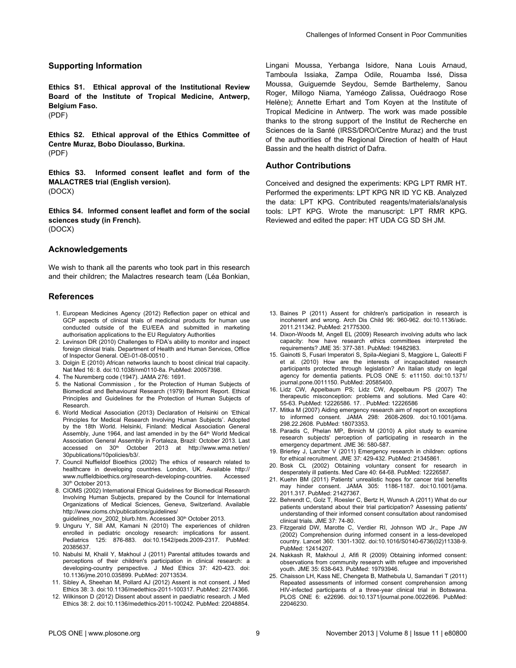## <span id="page-8-0"></span>**Supporting Information**

**Ethics S1. Ethical approval of the Institutional Review Board of the Institute of Tropical Medicine, Antwerp, Belgium Faso.** (PDF)

**Ethics S2. Ethical approval of the Ethics Committee of Centre Muraz, Bobo Dioulasso, Burkina.** (PDF)

**Ethics S3. Informed consent leaflet and form of the MALACTRES trial (English version).** (DOCX)

**Ethics S4. Informed consent leaflet and form of the social sciences study (in French).** (DOCX)

## **Acknowledgements**

We wish to thank all the parents who took part in this research and their children; the Malactres research team (Léa Bonkian,

#### **References**

- 1. European Medicines Agency (2012) Reflection paper on ethical and GCP aspects of clinical trials of medicinal products for human use conducted outside of the EU/EEA and submitted in marketing authorisation applications to the EU Regulatory Authorities
- 2. Levinson DR (2010) Challenges to FDA's ability to monitor and inspect foreign clinical trials. Department of Health and Human Services, Office of Inspector General. OEI-01-08-00510 .
- 3. Dolgin E (2010) African networks launch to boost clinical trial capacity. Nat Med 16: 8. doi:[10.1038/nm0110-8a](http://dx.doi.org/10.1038/nm0110-8a). PubMed: [20057398](http://www.ncbi.nlm.nih.gov/pubmed/20057398).
- 4. The Nuremberg code (1947). JAMA 276: 1691.
- 5. the National Commission , for the Protection of Human Subjects of Biomedical and Behavioural Research (1979) Belmont Report. Ethical Principles and Guidelines for the Protection of Human Subjects of Research.
- 6. World Medical Association (2013) Declaration of Helsinki on 'Ethical Principles for Medical Research Involving Human Subjects'. Adopted by the 18th World. Helsinki, Finland: Medical Association General Assembly, June 1964, and last amended in by the 64<sup>th</sup> World Medical Association General Assembly in Fortaleza, Brazil: October 2013. Last accessed on 30<sup>th</sup> October 2013 at [http://www.wma.net/en/](http://www.wma.net/en/30publications/10policies/b3/) [30publications/10policies/b3/](http://www.wma.net/en/30publications/10policies/b3/).
- 7. Council Nuffieldof Bioethics (2002) The ethics of research related to healthcare in developing countries. London, UK. Available [http://](http://www.nuffieldbioethics.org/research-developing-countries) [www.nuffieldbioethics.org/research-developing-countries](http://www.nuffieldbioethics.org/research-developing-countries). Accessed 30th October 2013.
- 8. CIOMS (2002) International Ethical Guidelines for Biomedical Research Involving Human Subjects, prepared by the Council for International Organizations of Medical Sciences, Geneva, Switzerland. Available [http://www.cioms.ch/publications/guidelines/](http://www.cioms.ch/publications/guidelines/guidelines_nov_2002_blurb.htm) [guidelines\\_nov\\_2002\\_blurb.htm.](http://www.cioms.ch/publications/guidelines/guidelines_nov_2002_blurb.htm) Accessed 30<sup>th</sup> October 2013.
- 9. Unguru Y, Sill AM, Kamani N (2010) The experiences of children enrolled in pediatric oncology research: implications for assent. Pediatrics 125: 876-883. doi:[10.1542/peds.2009-2317.](http://dx.doi.org/10.1542/peds.2009-2317) PubMed: [20385637.](http://www.ncbi.nlm.nih.gov/pubmed/20385637)
- 10. Nabulsi M, Khalil Y, Makhoul J (2011) Parental attitudes towards and perceptions of their children's participation in clinical research: a developing-country perspective. J Med Ethics 37: 420-423. doi: [10.1136/jme.2010.035899.](http://dx.doi.org/10.1136/jme.2010.035899) PubMed: [20713534.](http://www.ncbi.nlm.nih.gov/pubmed/20713534)
- 11. Sibley A, Sheehan M, Pollard AJ (2012) Assent is not consent. J Med Ethics 38: 3. doi[:10.1136/medethics-2011-100317](http://dx.doi.org/10.1136/medethics-2011-100317). PubMed: [22174366](http://www.ncbi.nlm.nih.gov/pubmed/22174366).
- 12. Wilkinson D (2012) Dissent about assent in paediatric research. J Med Ethics 38: 2. doi[:10.1136/medethics-2011-100242](http://dx.doi.org/10.1136/medethics-2011-100242). PubMed: [22048854](http://www.ncbi.nlm.nih.gov/pubmed/22048854).

Lingani Moussa, Yerbanga Isidore, Nana Louis Arnaud, Tamboula Issiaka, Zampa Odile, Rouamba Issé, Dissa Moussa, Guiguemde Seydou, Semde Barthelemy, Sanou Roger, Millogo Niama, Yaméogo Zalissa, Ouédraogo Rose Helène); Annette Erhart and Tom Koyen at the Institute of Tropical Medicine in Antwerp. The work was made possible thanks to the strong support of the Institut de Recherche en Sciences de la Santé (IRSS/DRO/Centre Muraz) and the trust of the authorities of the Regional Direction of health of Haut Bassin and the health district of Dafra.

## **Author Contributions**

Conceived and designed the experiments: KPG LPT RMR HT. Performed the experiments: LPT KPG NR ID YC KB. Analyzed the data: LPT KPG. Contributed reagents/materials/analysis tools: LPT KPG. Wrote the manuscript: LPT RMR KPG. Reviewed and edited the paper: HT UDA CG SD SH JM.

- 13. Baines P (2011) Assent for children's participation in research is incoherent and wrong. Arch Dis Child 96: 960-962. doi:[10.1136/adc.](http://dx.doi.org/10.1136/adc.2011.211342) [2011.211342](http://dx.doi.org/10.1136/adc.2011.211342). PubMed: [21775300](http://www.ncbi.nlm.nih.gov/pubmed/21775300).
- 14. Dixon-Woods M, Angell EL (2009) Research involving adults who lack capacity: how have research ethics committees interpreted the requirements? JME 35: 377-381. PubMed: [19482983](http://www.ncbi.nlm.nih.gov/pubmed/19482983).
- 15. Gainotti S, Fusari Imperatori S, Spila-Alegiani S, Maggiore L, Galeotti F et al. (2010) How are the interests of incapacitated research participants protected through legislation? An Italian study on legal agency for dementia patients. PLOS ONE 5: e11150. doi[:10.1371/](http://dx.doi.org/10.1371/journal.pone.0011150) [journal.pone.0011150](http://dx.doi.org/10.1371/journal.pone.0011150). PubMed: [20585400](http://www.ncbi.nlm.nih.gov/pubmed/20585400).
- 16. Lidz CW, Appelbaum PS; Lidz CW, Appelbaum PS (2007) The therapeutic misconception: problems and solutions. Med Care 40: 55-63. PubMed: [12226586](http://www.ncbi.nlm.nih.gov/pubmed/12226586). 17. . PubMed: 12226586
- 17. Mitka M (2007) Aiding emergency research aim of report on exceptions to informed consent. JAMA 298: 2608-2609. doi[:10.1001/jama.](http://dx.doi.org/10.1001/jama.298.22.2608) [298.22.2608](http://dx.doi.org/10.1001/jama.298.22.2608). PubMed: [18073353](http://www.ncbi.nlm.nih.gov/pubmed/18073353).
- 18. Paradis C, Phelan MP, Brinich M (2010) A pilot study to examine research subjects' perception of participating in research in the emergency department. JME 36: 580-587.
- 19. Brierley J, Larcher V (2011) Emergency research in children: options for ethical recruitment. JME 37: 429-432. PubMed: [21345861.](http://www.ncbi.nlm.nih.gov/pubmed/21345861)
- 20. Bosk CL (2002) Obtaining voluntary consent for research in desperately ill patients. Med Care 40: 64-68. PubMed: [12226587.](http://www.ncbi.nlm.nih.gov/pubmed/12226587)
- 21. Kuehn BM (2011) Patients' unrealistic hopes for cancer trial benefits may hinder consent. JAMA 305: 1186-1187. doi[:10.1001/jama.](http://dx.doi.org/10.1001/jama.2011.317) [2011.317.](http://dx.doi.org/10.1001/jama.2011.317) PubMed: [21427367.](http://www.ncbi.nlm.nih.gov/pubmed/21427367)
- 22. Behrendt C, Golz T, Roesler C, Bertz H, Wunsch A (2011) What do our patients understand about their trial participation? Assessing patients' understanding of their informed consent consultation about randomised clinical trials. JME 37: 74-80.
- 23. Fitzgerald DW, Marotte C, Verdier RI, Johnson WD Jr., Pape JW (2002) Comprehension during informed consent in a less-developed country. Lancet 360: 1301-1302. doi:[10.1016/S0140-6736\(02\)11338-9](http://dx.doi.org/10.1016/S0140-6736(02)11338-9). PubMed: [12414207.](http://www.ncbi.nlm.nih.gov/pubmed/12414207)
- 24. Nakkash R, Makhoul J, Afifi R (2009) Obtaining informed consent: observations from community research with refugee and impoverished youth. JME 35: 638-643. PubMed: [19793946.](http://www.ncbi.nlm.nih.gov/pubmed/19793946)
- 25. Chaisson LH, Kass NE, Chengeta B, Mathebula U, Samandari T (2011) Repeated assessments of informed consent comprehension among HIV-infected participants of a three-year clinical trial in Botswana. PLOS ONE 6: e22696. doi[:10.1371/journal.pone.0022696](http://dx.doi.org/10.1371/journal.pone.0022696). PubMed: [22046230.](http://www.ncbi.nlm.nih.gov/pubmed/22046230)